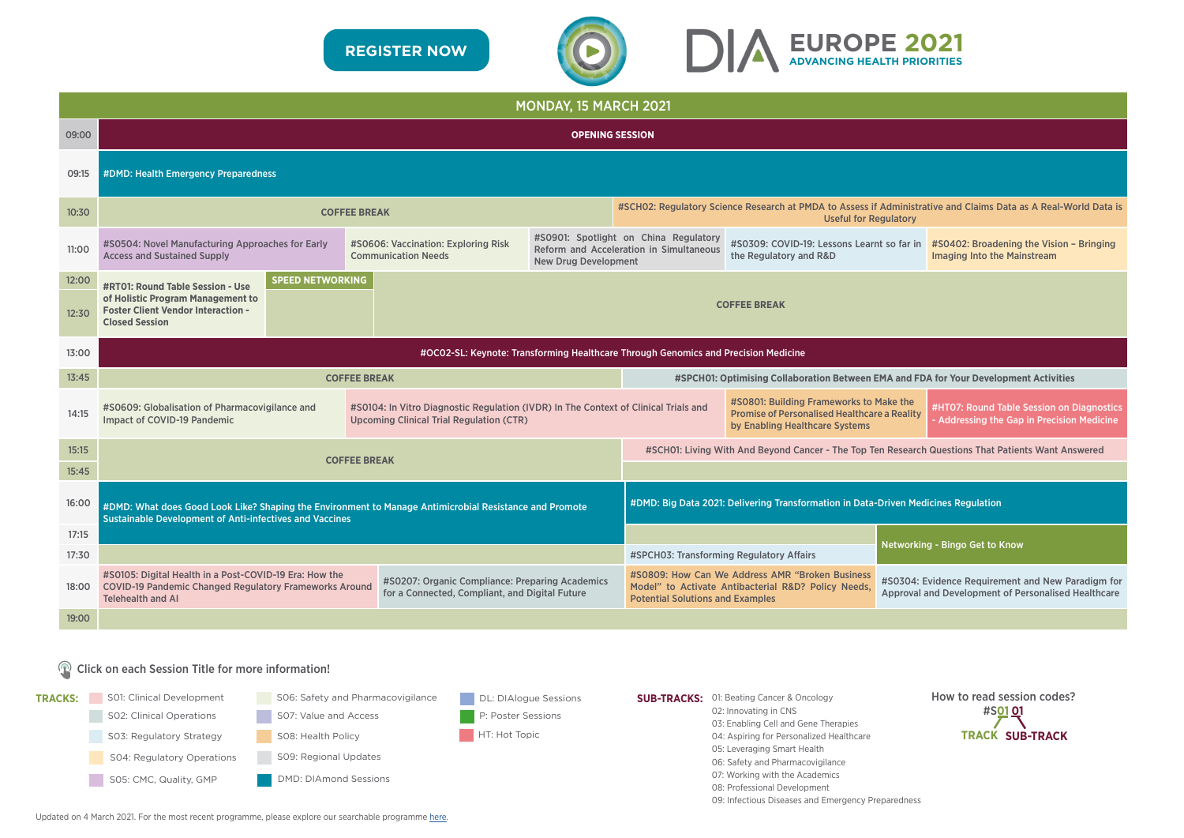|       |                                                                                                                                                                                                                                                          |                     |                                                                                    | <b>MONDAY, 15 MARCH 2021</b> |                                                                                                    |                                                                                                                                                                                                                                                               |  |                                |  |  |  |
|-------|----------------------------------------------------------------------------------------------------------------------------------------------------------------------------------------------------------------------------------------------------------|---------------------|------------------------------------------------------------------------------------|------------------------------|----------------------------------------------------------------------------------------------------|---------------------------------------------------------------------------------------------------------------------------------------------------------------------------------------------------------------------------------------------------------------|--|--------------------------------|--|--|--|
| 09:00 | <b>OPENING SESSION</b>                                                                                                                                                                                                                                   |                     |                                                                                    |                              |                                                                                                    |                                                                                                                                                                                                                                                               |  |                                |  |  |  |
| 09:15 | #DMD: Health Emergency Preparedness                                                                                                                                                                                                                      |                     |                                                                                    |                              |                                                                                                    |                                                                                                                                                                                                                                                               |  |                                |  |  |  |
| 10:30 | #SCHO2: Regulatory Science Research at PMDA to Assess if Administrative and Claims Data as A Real-World Data is<br><b>COFFEE BREAK</b><br><b>Useful for Regulatory</b>                                                                                   |                     |                                                                                    |                              |                                                                                                    |                                                                                                                                                                                                                                                               |  |                                |  |  |  |
| 11:00 | #S0504: Novel Manufacturing Approaches for Early<br>#S0606: Vaccination: Exploring Risk<br><b>Access and Sustained Supply</b><br><b>Communication Needs</b><br><b>New Drug Development</b>                                                               |                     |                                                                                    |                              |                                                                                                    | #S0901: Spotlight on China Regulatory<br>#S0309: COVID-19: Lessons Learnt so far in #S0402: Broadening the Vision - Bringing<br>Reform and Acceleration in Simultaneous<br>the Regulatory and R&D<br><b>Imaging Into the Mainstream</b>                       |  |                                |  |  |  |
| 12:00 | <b>SPEED NETWORKING</b><br><b>#RT01: Round Table Session - Use</b>                                                                                                                                                                                       |                     |                                                                                    |                              |                                                                                                    |                                                                                                                                                                                                                                                               |  |                                |  |  |  |
| 12:30 | of Holistic Program Management to<br><b>Foster Client Vendor Interaction -</b><br><b>Closed Session</b>                                                                                                                                                  |                     |                                                                                    |                              |                                                                                                    | <b>COFFEE BREAK</b>                                                                                                                                                                                                                                           |  |                                |  |  |  |
| 13:00 |                                                                                                                                                                                                                                                          |                     |                                                                                    |                              | #OC02-SL: Keynote: Transforming Healthcare Through Genomics and Precision Medicine                 |                                                                                                                                                                                                                                                               |  |                                |  |  |  |
| 13:45 |                                                                                                                                                                                                                                                          | <b>COFFEE BREAK</b> |                                                                                    |                              | #SPCH01: Optimising Collaboration Between EMA and FDA for Your Development Activities              |                                                                                                                                                                                                                                                               |  |                                |  |  |  |
| 14:15 | #S0609: Globalisation of Pharmacovigilance and<br>#S0104: In Vitro Diagnostic Regulation (IVDR) In The Context of Clinical Trials and<br><b>Impact of COVID-19 Pandemic</b><br><b>Upcoming Clinical Trial Regulation (CTR)</b>                           |                     |                                                                                    |                              |                                                                                                    | #S0801: Building Frameworks to Make the<br>#HT07: Round Table Session on Diagnostics<br><b>Promise of Personalised Healthcare a Reality</b><br><b>Addressing the Gap in Precision Medicine</b><br>by Enabling Healthcare Systems                              |  |                                |  |  |  |
| 15:15 |                                                                                                                                                                                                                                                          | <b>COFFEE BREAK</b> |                                                                                    |                              | #SCH01: Living With And Beyond Cancer - The Top Ten Research Questions That Patients Want Answered |                                                                                                                                                                                                                                                               |  |                                |  |  |  |
| 15:45 |                                                                                                                                                                                                                                                          |                     |                                                                                    |                              |                                                                                                    |                                                                                                                                                                                                                                                               |  |                                |  |  |  |
| 16:00 | #DMD: What does Good Look Like? Shaping the Environment to Manage Antimicrobial Resistance and Promote<br><b>Sustainable Development of Anti-infectives and Vaccines</b>                                                                                 |                     | #DMD: Big Data 2021: Delivering Transformation in Data-Driven Medicines Regulation |                              |                                                                                                    |                                                                                                                                                                                                                                                               |  |                                |  |  |  |
| 17:15 |                                                                                                                                                                                                                                                          |                     |                                                                                    |                              |                                                                                                    |                                                                                                                                                                                                                                                               |  | Networking - Bingo Get to Know |  |  |  |
| 17:30 |                                                                                                                                                                                                                                                          |                     |                                                                                    |                              | #SPCH03: Transforming Regulatory Affairs                                                           |                                                                                                                                                                                                                                                               |  |                                |  |  |  |
| 18:00 | #S0105: Digital Health in a Post-COVID-19 Era: How the<br>#S0207: Organic Compliance: Preparing Academics<br><b>COVID-19 Pandemic Changed Regulatory Frameworks Around</b><br>for a Connected, Compliant, and Digital Future<br><b>Telehealth and AI</b> |                     |                                                                                    |                              |                                                                                                    | #S0809: How Can We Address AMR "Broken Business<br>#S0304: Evidence Requirement and New Paradigm for<br>Model" to Activate Antibacterial R&D? Policy Needs,<br>Approval and Development of Personalised Healthcare<br><b>Potential Solutions and Examples</b> |  |                                |  |  |  |
| 19:00 |                                                                                                                                                                                                                                                          |                     |                                                                                    |                              |                                                                                                    |                                                                                                                                                                                                                                                               |  |                                |  |  |  |

| gulatory                                                                                                        | <b>Administrative and Claims Data as A Real-World Data is</b>                           |  |  |  |  |  |  |  |
|-----------------------------------------------------------------------------------------------------------------|-----------------------------------------------------------------------------------------|--|--|--|--|--|--|--|
| so far in                                                                                                       | #S0402: Broadening the Vision - Bringing<br><b>Imaging Into the Mainstream</b>          |  |  |  |  |  |  |  |
|                                                                                                                 |                                                                                         |  |  |  |  |  |  |  |
|                                                                                                                 |                                                                                         |  |  |  |  |  |  |  |
|                                                                                                                 |                                                                                         |  |  |  |  |  |  |  |
|                                                                                                                 | MA and FDA for Your Development Activities                                              |  |  |  |  |  |  |  |
| lake the<br>a Reality                                                                                           | #HT07: Round Table Session on Diagnostics<br>- Addressing the Gap in Precision Medicine |  |  |  |  |  |  |  |
|                                                                                                                 | <b>1 Research Questions That Patients Want Answered</b>                                 |  |  |  |  |  |  |  |
|                                                                                                                 |                                                                                         |  |  |  |  |  |  |  |
|                                                                                                                 | <b>Driven Medicines Regulation</b>                                                      |  |  |  |  |  |  |  |
| Networking - Bingo Get to Know                                                                                  |                                                                                         |  |  |  |  |  |  |  |
| #S0304: Evidence Requirement and New Paradigm for<br><b>Approval and Development of Personalised Healthcare</b> |                                                                                         |  |  |  |  |  |  |  |
|                                                                                                                 |                                                                                         |  |  |  |  |  |  |  |
|                                                                                                                 |                                                                                         |  |  |  |  |  |  |  |
|                                                                                                                 |                                                                                         |  |  |  |  |  |  |  |

### Click on each Session Title for more information!



How to read session codes? #S**01 01 TRACK SUB-TRACK**



Updated on 4 March 2021. For the most recent programme, please explore our searchable programme [here.](https://dia.covr.be/cmportal/searchable/21101/config/searchable#!sessionschedule)

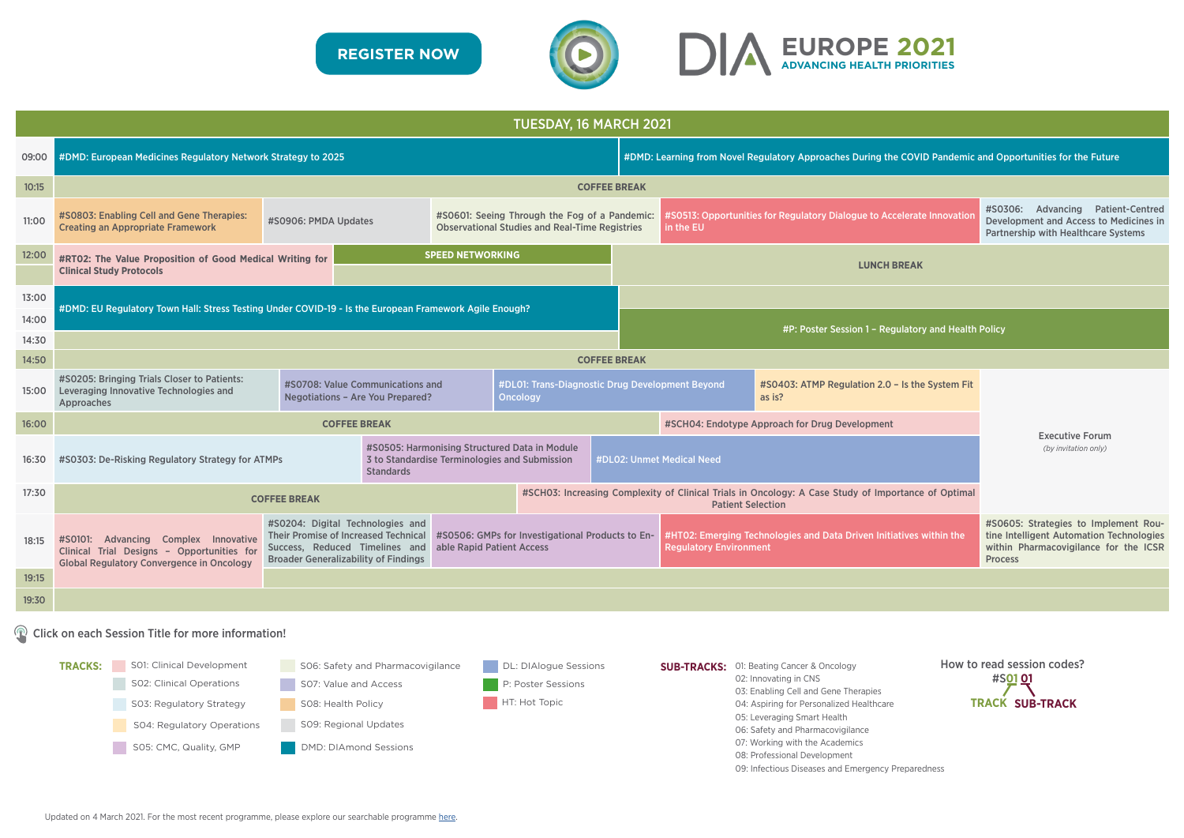|       | TUESDAY, 16 MARCH 2021                                                                                                                                                                                                  |                                                                                                                                                                  |                           |                                                                           |                    |                                                                                                      |                                                                                     |                                              |  |  |
|-------|-------------------------------------------------------------------------------------------------------------------------------------------------------------------------------------------------------------------------|------------------------------------------------------------------------------------------------------------------------------------------------------------------|---------------------------|---------------------------------------------------------------------------|--------------------|------------------------------------------------------------------------------------------------------|-------------------------------------------------------------------------------------|----------------------------------------------|--|--|
| 09:00 | #DMD: European Medicines Regulatory Network Strategy to 2025                                                                                                                                                            |                                                                                                                                                                  |                           | #DMD: Learning from Novel Regulatory Approaches During the COVID Pandemic |                    |                                                                                                      |                                                                                     |                                              |  |  |
| 10:15 |                                                                                                                                                                                                                         |                                                                                                                                                                  | <b>COFFEE BREAK</b>       |                                                                           |                    |                                                                                                      |                                                                                     |                                              |  |  |
| 11:00 | #S0803: Enabling Cell and Gene Therapies:<br>#S0601: Seeing Through the Fog of a Pandemic:<br>#S0906: PMDA Updates<br><b>Creating an Appropriate Framework</b><br><b>Observational Studies and Real-Time Registries</b> |                                                                                                                                                                  |                           |                                                                           |                    |                                                                                                      | #S0513: Opportunities for Regulatory Dialogue to Accelerate Innovation<br>in the EU |                                              |  |  |
| 12:00 | #RT02: The Value Proposition of Good Medical Writing for<br><b>Clinical Study Protocols</b>                                                                                                                             |                                                                                                                                                                  |                           |                                                                           | <b>LUNCH BREAK</b> |                                                                                                      |                                                                                     |                                              |  |  |
| 13:00 | #DMD: EU Regulatory Town Hall: Stress Testing Under COVID-19 - Is the European Framework Agile Enough?                                                                                                                  |                                                                                                                                                                  |                           |                                                                           |                    |                                                                                                      |                                                                                     |                                              |  |  |
| 14:00 |                                                                                                                                                                                                                         |                                                                                                                                                                  |                           |                                                                           |                    |                                                                                                      |                                                                                     | #P: Poster Session 1 - Regulatory and Health |  |  |
| 14:30 |                                                                                                                                                                                                                         |                                                                                                                                                                  |                           |                                                                           |                    |                                                                                                      |                                                                                     |                                              |  |  |
| 14:50 |                                                                                                                                                                                                                         |                                                                                                                                                                  |                           |                                                                           |                    | <b>COFFEE BREAK</b>                                                                                  |                                                                                     |                                              |  |  |
| 15:00 | #S0205: Bringing Trials Closer to Patients:<br>Leveraging Innovative Technologies and<br>Approaches                                                                                                                     | #S0708: Value Communications and<br>#DL01: Trans-Diagnostic Drug Development Beyond<br><b>Negotiations - Are You Prepared?</b><br><b>Oncology</b>                |                           |                                                                           |                    |                                                                                                      | #S0403: ATMP Regulation 2.0 - Is the System Fit<br>as is?                           |                                              |  |  |
| 16:00 |                                                                                                                                                                                                                         | <b>COFFEE BREAK</b>                                                                                                                                              |                           |                                                                           |                    |                                                                                                      | #SCH04: Endotype Approach for Drug Development                                      |                                              |  |  |
| 16:30 | #S0303: De-Risking Regulatory Strategy for ATMPs                                                                                                                                                                        |                                                                                                                                                                  |                           | #DL02: Unmet Medical Need                                                 |                    |                                                                                                      |                                                                                     |                                              |  |  |
| 17:30 | #SCH03: Increasing Complexity of Clinical Trials in Oncology: A Case Study of Importance of Optimal<br><b>COFFEE BREAK</b><br><b>Patient Selection</b>                                                                  |                                                                                                                                                                  |                           |                                                                           |                    |                                                                                                      |                                                                                     |                                              |  |  |
| 18:15 | #S0101: Advancing Complex Innovative<br>Clinical Trial Designs - Opportunities for<br><b>Global Regulatory Convergence in Oncology</b>                                                                                  | #S0204: Digital Technologies and<br><b>Their Promise of Increased Technical</b><br>Success, Reduced Timelines and<br><b>Broader Generalizability of Findings</b> | able Rapid Patient Access | #S0506: GMPs for Investigational Products to En-                          |                    | #HT02: Emerging Technologies and Data Driven Initiatives within the<br><b>Regulatory Environment</b> |                                                                                     |                                              |  |  |
| 19:15 |                                                                                                                                                                                                                         |                                                                                                                                                                  |                           |                                                                           |                    |                                                                                                      |                                                                                     |                                              |  |  |
| 19:30 |                                                                                                                                                                                                                         |                                                                                                                                                                  |                           |                                                                           |                    |                                                                                                      |                                                                                     |                                              |  |  |
|       |                                                                                                                                                                                                                         |                                                                                                                                                                  |                           |                                                                           |                    |                                                                                                      |                                                                                     |                                              |  |  |

### Click on each Session Title for more information!





How to read session codes? #S**01 01 TRACK SUB-TRACK**



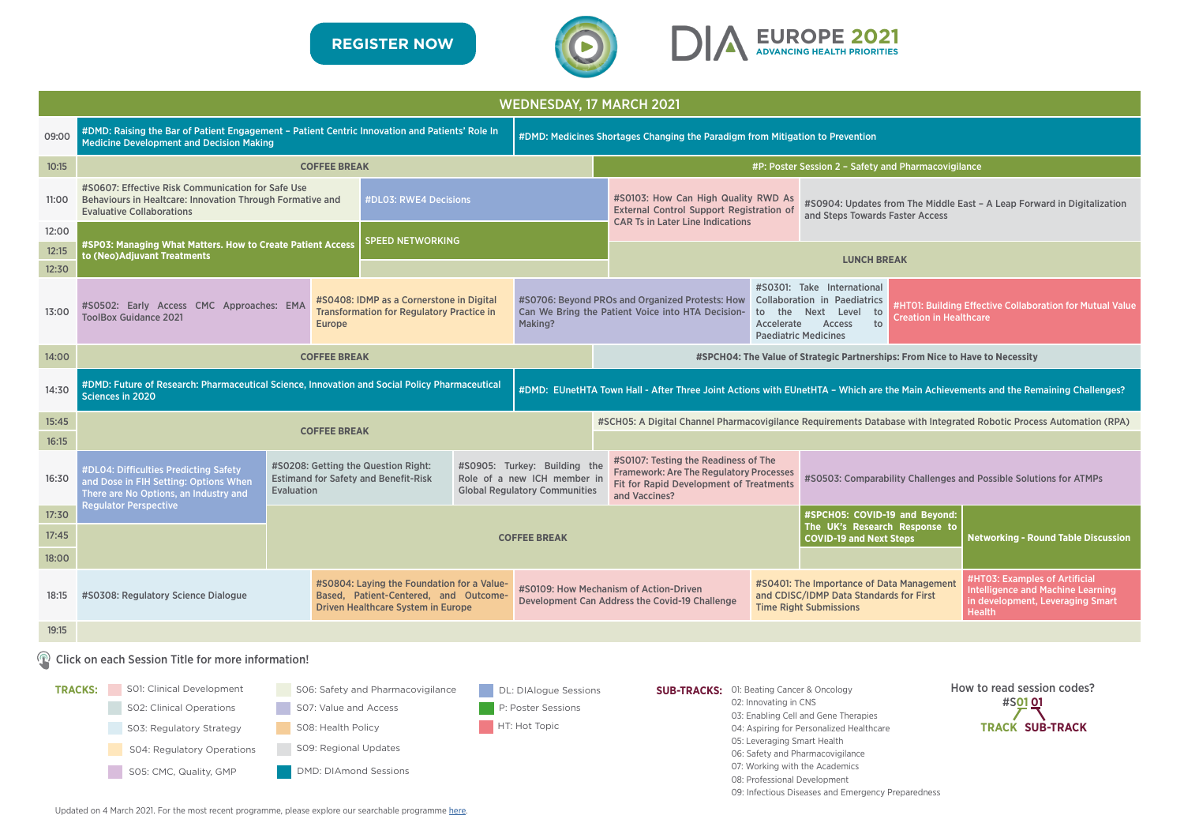

|                | <b>WEDNESDAY, 17 MARCH 2021</b>                                                                                                                                                                                                                                |                                                                                                         |                                                                                                                           |                         |                                                                                                     |                                                                                                                                                                                                                                                                                                 |                                                                                                                                                                      |                                                      |                                                                                                                                                                                                                                                                               |                                                                                                                                |  |  |
|----------------|----------------------------------------------------------------------------------------------------------------------------------------------------------------------------------------------------------------------------------------------------------------|---------------------------------------------------------------------------------------------------------|---------------------------------------------------------------------------------------------------------------------------|-------------------------|-----------------------------------------------------------------------------------------------------|-------------------------------------------------------------------------------------------------------------------------------------------------------------------------------------------------------------------------------------------------------------------------------------------------|----------------------------------------------------------------------------------------------------------------------------------------------------------------------|------------------------------------------------------|-------------------------------------------------------------------------------------------------------------------------------------------------------------------------------------------------------------------------------------------------------------------------------|--------------------------------------------------------------------------------------------------------------------------------|--|--|
| 09:00          | #DMD: Raising the Bar of Patient Engagement - Patient Centric Innovation and Patients' Role In<br><b>Medicine Development and Decision Making</b>                                                                                                              |                                                                                                         |                                                                                                                           |                         |                                                                                                     |                                                                                                                                                                                                                                                                                                 | #DMD: Medicines Shortages Changing the Paradigm from Mitigation to Prevention                                                                                        |                                                      |                                                                                                                                                                                                                                                                               |                                                                                                                                |  |  |
| 10:15          | <b>COFFEE BREAK</b>                                                                                                                                                                                                                                            |                                                                                                         |                                                                                                                           |                         |                                                                                                     |                                                                                                                                                                                                                                                                                                 | #P: Poster Session 2 - Safety and Pharmacovigilance                                                                                                                  |                                                      |                                                                                                                                                                                                                                                                               |                                                                                                                                |  |  |
| 11:00          | #S0607: Effective Risk Communication for Safe Use<br>#DL03: RWE4 Decisions<br>Behaviours in Healtcare: Innovation Through Formative and<br><b>Evaluative Collaborations</b>                                                                                    |                                                                                                         |                                                                                                                           |                         |                                                                                                     |                                                                                                                                                                                                                                                                                                 | #S0103: How Can High Quality RWD As<br><b>External Control Support Registration of</b><br>and Steps Towards Faster Access<br><b>CAR Ts in Later Line Indications</b> |                                                      |                                                                                                                                                                                                                                                                               | #S0904: Updates from The Middle East - A Leap Forward in Digitalization                                                        |  |  |
| 12:00<br>12:15 | #SP03: Managing What Matters. How to Create Patient Access                                                                                                                                                                                                     |                                                                                                         |                                                                                                                           | <b>SPEED NETWORKING</b> |                                                                                                     |                                                                                                                                                                                                                                                                                                 |                                                                                                                                                                      |                                                      |                                                                                                                                                                                                                                                                               |                                                                                                                                |  |  |
| 12:30          | to (Neo) Adjuvant Treatments                                                                                                                                                                                                                                   |                                                                                                         |                                                                                                                           |                         |                                                                                                     |                                                                                                                                                                                                                                                                                                 |                                                                                                                                                                      |                                                      | <b>LUNCH BREAK</b>                                                                                                                                                                                                                                                            |                                                                                                                                |  |  |
| 13:00          | #S0502: Early Access CMC Approaches: EMA<br><b>ToolBox Guidance 2021</b>                                                                                                                                                                                       | <b>Europe</b>                                                                                           | #S0408: IDMP as a Cornerstone in Digital<br><b>Transformation for Regulatory Practice in</b><br>Making?                   |                         |                                                                                                     | #S0301: Take International<br>#S0706: Beyond PROs and Organized Protests: How Collaboration in Paediatrics<br>Can We Bring the Patient Voice into HTA Decision-<br>to the Next Level<br>to<br><b>Creation in Healthcare</b><br>to<br>Accelerate<br><b>Access</b><br><b>Paediatric Medicines</b> |                                                                                                                                                                      |                                                      | #HT01: Building Effective Collaboration for Mutual Valu                                                                                                                                                                                                                       |                                                                                                                                |  |  |
| 14:00          |                                                                                                                                                                                                                                                                | <b>COFFEE BREAK</b>                                                                                     |                                                                                                                           |                         |                                                                                                     |                                                                                                                                                                                                                                                                                                 |                                                                                                                                                                      |                                                      | #SPCH04: The Value of Strategic Partnerships: From Nice to Have to Necessity                                                                                                                                                                                                  |                                                                                                                                |  |  |
| 14:30          | #DMD: Future of Research: Pharmaceutical Science, Innovation and Social Policy Pharmaceutical<br>#DMD: EUnetHTA Town Hall - After Three Joint Actions with EUnetHTA - Which are the Main Achievements and the Remaining Challenges?<br><b>Sciences in 2020</b> |                                                                                                         |                                                                                                                           |                         |                                                                                                     |                                                                                                                                                                                                                                                                                                 |                                                                                                                                                                      |                                                      |                                                                                                                                                                                                                                                                               |                                                                                                                                |  |  |
| 15:45          |                                                                                                                                                                                                                                                                |                                                                                                         |                                                                                                                           |                         |                                                                                                     | #SCH05: A Digital Channel Pharmacovigilance Requirements Database with Integrated Robotic Process Automation (RPA)                                                                                                                                                                              |                                                                                                                                                                      |                                                      |                                                                                                                                                                                                                                                                               |                                                                                                                                |  |  |
| 16:15          |                                                                                                                                                                                                                                                                | <b>COFFEE BREAK</b>                                                                                     |                                                                                                                           |                         |                                                                                                     |                                                                                                                                                                                                                                                                                                 |                                                                                                                                                                      |                                                      |                                                                                                                                                                                                                                                                               |                                                                                                                                |  |  |
| 16:30          | #DL04: Difficulties Predicting Safety<br>and Dose in FIH Setting: Options When<br>There are No Options, an Industry and                                                                                                                                        | #S0208: Getting the Question Right:<br><b>Estimand for Safety and Benefit-Risk</b><br><b>Evaluation</b> |                                                                                                                           |                         | #S0905: Turkey: Building the<br>Role of a new ICH member in<br><b>Global Regulatory Communities</b> | #S0107: Testing the Readiness of The<br><b>Framework: Are The Regulatory Processes</b><br>Fit for Rapid Development of Treatments<br>and Vaccines?                                                                                                                                              |                                                                                                                                                                      |                                                      | #S0503: Comparability Challenges and Possible Solutions for ATMPs                                                                                                                                                                                                             |                                                                                                                                |  |  |
| 17:30          | <b>Regulator Perspective</b>                                                                                                                                                                                                                                   |                                                                                                         |                                                                                                                           |                         |                                                                                                     |                                                                                                                                                                                                                                                                                                 |                                                                                                                                                                      |                                                      | #SPCH05: COVID-19 and Beyond:                                                                                                                                                                                                                                                 |                                                                                                                                |  |  |
| 17:45          |                                                                                                                                                                                                                                                                |                                                                                                         |                                                                                                                           |                         | <b>COFFEE BREAK</b>                                                                                 |                                                                                                                                                                                                                                                                                                 |                                                                                                                                                                      |                                                      | The UK's Research Response to<br><b>COVID-19 and Next Steps</b>                                                                                                                                                                                                               | <b>Networking - Round Table Discussion</b>                                                                                     |  |  |
| 18:00          |                                                                                                                                                                                                                                                                |                                                                                                         |                                                                                                                           |                         |                                                                                                     |                                                                                                                                                                                                                                                                                                 |                                                                                                                                                                      |                                                      |                                                                                                                                                                                                                                                                               |                                                                                                                                |  |  |
| 18:15          | #S0308: Regulatory Science Dialogue                                                                                                                                                                                                                            |                                                                                                         | #S0804: Laying the Foundation for a Value-<br>Based, Patient-Centered, and Outcome-<br>Driven Healthcare System in Europe |                         |                                                                                                     |                                                                                                                                                                                                                                                                                                 | #S0109: How Mechanism of Action-Driven<br>Development Can Address the Covid-19 Challenge                                                                             |                                                      | #S0401: The Importance of Data Management<br>and CDISC/IDMP Data Standards for First<br><b>Time Right Submissions</b>                                                                                                                                                         | #HT03: Examples of Artificial<br><b>Intelligence and Machine Learning</b><br>in development, Leveraging Smart<br><b>Health</b> |  |  |
| 19:15          |                                                                                                                                                                                                                                                                |                                                                                                         |                                                                                                                           |                         |                                                                                                     |                                                                                                                                                                                                                                                                                                 |                                                                                                                                                                      |                                                      |                                                                                                                                                                                                                                                                               |                                                                                                                                |  |  |
|                | ( <sup>Q</sup> ) Click on each Session Title for more information!                                                                                                                                                                                             |                                                                                                         |                                                                                                                           |                         |                                                                                                     |                                                                                                                                                                                                                                                                                                 |                                                                                                                                                                      |                                                      |                                                                                                                                                                                                                                                                               |                                                                                                                                |  |  |
|                | S01: Clinical Development<br><b>TRACKS:</b><br>SO2: Clinical Operations<br>SO3: Regulatory Strategy<br>SO4: Regulatory Operations<br>SO5: CMC, Quality, GMP                                                                                                    | SO8: Health Policy                                                                                      | SO6: Safety and Pharmacovigilance<br>SO7: Value and Access<br>SO9: Regional Updates<br><b>DMD: DIAmond Sessions</b>       |                         | DL: DIAlogue Sessions<br>P: Poster Sessions<br>HT: Hot Topic                                        |                                                                                                                                                                                                                                                                                                 | <b>SUB-TRACKS:</b>                                                                                                                                                   | 02: Innovating in CNS<br>05: Leveraging Smart Health | 01: Beating Cancer & Oncology<br>03: Enabling Cell and Gene Therapies<br>04: Aspiring for Personalized Healthcare<br>06: Safety and Pharmacovigilance<br>07: Working with the Academics<br>08: Professional Development<br>09: Infectious Diseases and Emergency Preparedness | How to read session codes?<br>#S <u>01 0</u> 1<br><b>TRACK SUB-TRACK</b>                                                       |  |  |

Updated on 4 March 2021. For the most recent programme, please explore our searchable programme [here](https://dia.covr.be/cmportal/searchable/21101/config/searchable#!sessionschedule).



| and Beyond:<br>Response to<br>teps | <b>Networking - Round Table Discussion</b>                                                                                     |
|------------------------------------|--------------------------------------------------------------------------------------------------------------------------------|
| a Management<br>s for First        | #HTO3: Examples of Artificial<br><b>Intelligence and Machine Learning</b><br>in development, Leveraging Smart<br><b>Health</b> |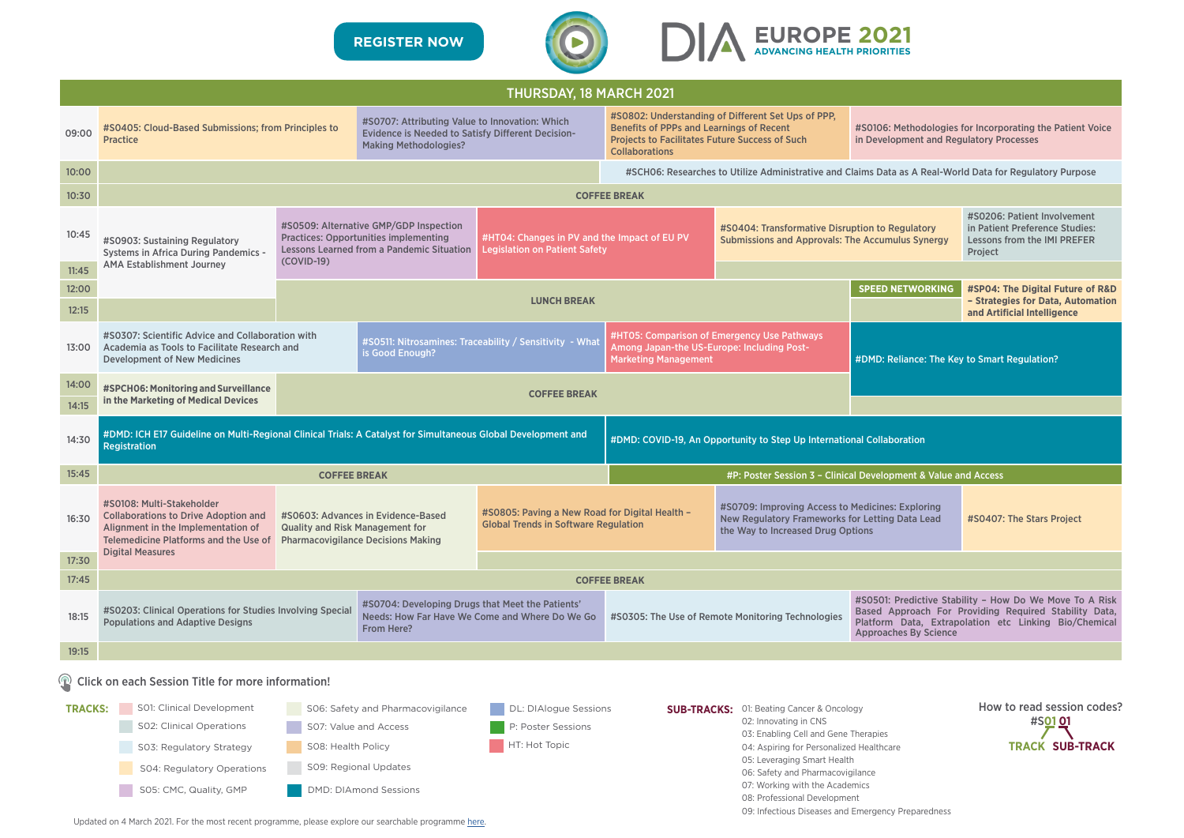|                                                       | <b>THURSDAY, 18 MARCH 2021</b>                                                                                                                                                                                        |                                             |                                                                                                                                                                               |                                                                                      |                                                                                                                                          |                                                                                                                                                                                                                                                                                                    |                                                                                                                                                                                                           |                                                                                                          |  |  |
|-------------------------------------------------------|-----------------------------------------------------------------------------------------------------------------------------------------------------------------------------------------------------------------------|---------------------------------------------|-------------------------------------------------------------------------------------------------------------------------------------------------------------------------------|--------------------------------------------------------------------------------------|------------------------------------------------------------------------------------------------------------------------------------------|----------------------------------------------------------------------------------------------------------------------------------------------------------------------------------------------------------------------------------------------------------------------------------------------------|-----------------------------------------------------------------------------------------------------------------------------------------------------------------------------------------------------------|----------------------------------------------------------------------------------------------------------|--|--|
| 09:00                                                 | #S0405: Cloud-Based Submissions; from Principles to<br><b>Practice</b>                                                                                                                                                |                                             | #S0707: Attributing Value to Innovation: Which<br><b>Evidence is Needed to Satisfy Different Decision-</b><br><b>Making Methodologies?</b>                                    |                                                                                      | <b>Benefits of PPPs and Learnings of Recent</b><br><b>Projects to Facilitates Future Success of Such</b><br><b>Collaborations</b>        | #S0802: Understanding of Different Set Ups of PPP,                                                                                                                                                                                                                                                 | #S0106: Methodologies for Incorporating the Patient Voice<br>in Development and Regulatory Processes                                                                                                      |                                                                                                          |  |  |
| 10:00                                                 |                                                                                                                                                                                                                       |                                             |                                                                                                                                                                               |                                                                                      |                                                                                                                                          |                                                                                                                                                                                                                                                                                                    |                                                                                                                                                                                                           | #SCHO6: Researches to Utilize Administrative and Claims Data as A Real-World Data for Regulatory Purpose |  |  |
| 10:30                                                 |                                                                                                                                                                                                                       |                                             |                                                                                                                                                                               |                                                                                      | <b>COFFEE BREAK</b>                                                                                                                      |                                                                                                                                                                                                                                                                                                    |                                                                                                                                                                                                           |                                                                                                          |  |  |
| 10:45                                                 | #S0903: Sustaining Regulatory<br><b>Systems in Africa During Pandemics -</b>                                                                                                                                          | (COVID-19)                                  | #S0509: Alternative GMP/GDP Inspection<br><b>Practices: Opportunities implementing</b><br><b>Lessons Learned from a Pandemic Situation</b>                                    | #HT04: Changes in PV and the Impact of EU PV<br><b>Legislation on Patient Safety</b> |                                                                                                                                          | #S0404: Transformative Disruption to Regulatory<br><b>Submissions and Approvals: The Accumulus Synergy</b>                                                                                                                                                                                         | #S0206: Patient Involvement<br>in Patient Preference Studies:<br><b>Lessons from the IMI PREFER</b><br>Project                                                                                            |                                                                                                          |  |  |
| 11:45                                                 | <b>AMA Establishment Journey</b>                                                                                                                                                                                      |                                             |                                                                                                                                                                               |                                                                                      |                                                                                                                                          |                                                                                                                                                                                                                                                                                                    |                                                                                                                                                                                                           |                                                                                                          |  |  |
| 12:00<br>12:15                                        |                                                                                                                                                                                                                       |                                             |                                                                                                                                                                               | <b>LUNCH BREAK</b>                                                                   |                                                                                                                                          |                                                                                                                                                                                                                                                                                                    | <b>SPEED NETWORKING</b>                                                                                                                                                                                   | #SP04: The Digital Future of R&D<br>- Strategies for Data, Automation<br>and Artificial Intelligence     |  |  |
| 13:00                                                 | #S0307: Scientific Advice and Collaboration with<br>#S0511: Nitrosamines: Traceability / Sensitivity - What<br>Academia as Tools to Facilitate Research and<br>is Good Enough?<br><b>Development of New Medicines</b> |                                             |                                                                                                                                                                               |                                                                                      | <b>Marketing Management</b>                                                                                                              | #HT05: Comparison of Emergency Use Pathways<br>Among Japan-the US-Europe: Including Post-<br>#DMD: Reliance: The Key to Smart Regulation?                                                                                                                                                          |                                                                                                                                                                                                           |                                                                                                          |  |  |
| <b>14:00</b>                                          | #SPCH06: Monitoring and Surveillance                                                                                                                                                                                  |                                             |                                                                                                                                                                               |                                                                                      |                                                                                                                                          |                                                                                                                                                                                                                                                                                                    |                                                                                                                                                                                                           |                                                                                                          |  |  |
| 14:15                                                 | in the Marketing of Medical Devices                                                                                                                                                                                   |                                             |                                                                                                                                                                               | <b>COFFEE BREAK</b>                                                                  |                                                                                                                                          |                                                                                                                                                                                                                                                                                                    |                                                                                                                                                                                                           |                                                                                                          |  |  |
| 14:30                                                 | #DMD: ICH E17 Guideline on Multi-Regional Clinical Trials: A Catalyst for Simultaneous Global Development and<br>#DMD: COVID-19, An Opportunity to Step Up International Collaboration<br><b>Registration</b>         |                                             |                                                                                                                                                                               |                                                                                      |                                                                                                                                          |                                                                                                                                                                                                                                                                                                    |                                                                                                                                                                                                           |                                                                                                          |  |  |
| 15:45                                                 |                                                                                                                                                                                                                       | <b>COFFEE BREAK</b>                         |                                                                                                                                                                               |                                                                                      |                                                                                                                                          | #P: Poster Session 3 - Clinical Development & Value and Access                                                                                                                                                                                                                                     |                                                                                                                                                                                                           |                                                                                                          |  |  |
| 16:30                                                 | #S0108: Multi-Stakeholder<br><b>Collaborations to Drive Adoption and</b><br>Alignment in the Implementation of<br>Telemedicine Platforms and the Use of Pharmacovigilance Decisions Making                            |                                             | #S0805: Paving a New Road for Digital Health -<br>#S0603: Advances in Evidence-Based<br><b>Global Trends in Software Regulation</b><br><b>Quality and Risk Management for</b> |                                                                                      | #S0709: Improving Access to Medicines: Exploring<br>New Regulatory Frameworks for Letting Data Lead<br>the Way to Increased Drug Options |                                                                                                                                                                                                                                                                                                    |                                                                                                                                                                                                           | #S0407: The Stars Project                                                                                |  |  |
| 17:30                                                 | <b>Digital Measures</b>                                                                                                                                                                                               |                                             |                                                                                                                                                                               |                                                                                      |                                                                                                                                          |                                                                                                                                                                                                                                                                                                    |                                                                                                                                                                                                           |                                                                                                          |  |  |
| 17:45                                                 |                                                                                                                                                                                                                       |                                             |                                                                                                                                                                               |                                                                                      | <b>COFFEE BREAK</b>                                                                                                                      |                                                                                                                                                                                                                                                                                                    |                                                                                                                                                                                                           |                                                                                                          |  |  |
| 18:15                                                 | #S0704: Developing Drugs that Meet the Patients'<br>#S0203: Clinical Operations for Studies Involving Special<br><b>Populations and Adaptive Designs</b><br><b>From Here?</b>                                         |                                             |                                                                                                                                                                               | Needs: How Far Have We Come and Where Do We Go                                       |                                                                                                                                          | #S0305: The Use of Remote Monitoring Technologies                                                                                                                                                                                                                                                  | #S0501: Predictive Stability - How Do We Move To A Risk<br>Based Approach For Providing Required Stability Data,<br>Platform Data, Extrapolation etc Linking Bio/Chemical<br><b>Approaches By Science</b> |                                                                                                          |  |  |
| 19:15                                                 |                                                                                                                                                                                                                       |                                             |                                                                                                                                                                               |                                                                                      |                                                                                                                                          |                                                                                                                                                                                                                                                                                                    |                                                                                                                                                                                                           |                                                                                                          |  |  |
| (D) Click on each Session Title for more information! |                                                                                                                                                                                                                       |                                             |                                                                                                                                                                               |                                                                                      |                                                                                                                                          |                                                                                                                                                                                                                                                                                                    |                                                                                                                                                                                                           |                                                                                                          |  |  |
| <b>TRACKS:</b>                                        | S01: Clinical Development<br>SO2: Clinical Operations<br>SO3: Regulatory Strategy<br>S04: Regulatory Operations<br>SO5: CMC, Quality, GMP                                                                             | SO8: Health Policy<br>SO9: Regional Updates | SO6: Safety and Pharmacovigilance<br>SO7: Value and Access<br><b>DMD: DIAmond Sessions</b>                                                                                    | DL: DIAlogue Sessions<br><b>Poster Sessions</b><br>IT: Hot Topic                     |                                                                                                                                          | <b>SUB-TRACKS:</b> 01: Beating Cancer & Oncology<br>02: Innovating in CNS<br>03: Enabling Cell and Gene Therapies<br>04: Aspiring for Personalized Healthcare<br>05: Leveraging Smart Health<br>06: Safety and Pharmacovigilance<br>07: Working with the Academics<br>08: Professional Development |                                                                                                                                                                                                           | How to read session codes<br>#S <u>01 0</u> 1<br><b>TRACK SUB-TRACK</b>                                  |  |  |

Updated on 4 March 2021. For the most recent programme, please explore our searchable programme [here](https://dia.covr.be/cmportal/searchable/21101/config/searchable#!sessionschedule).